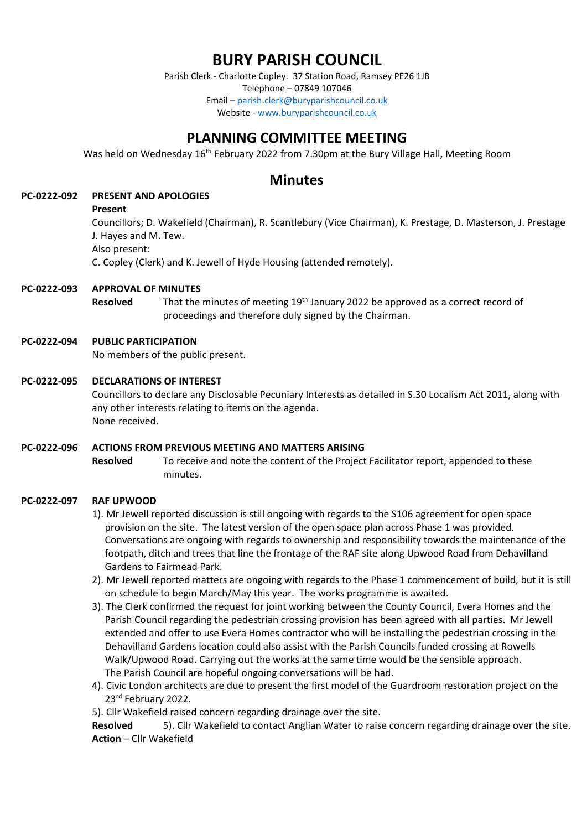# **BURY PARISH COUNCIL**

Parish Clerk - Charlotte Copley. 37 Station Road, Ramsey PE26 1JB Telephone – 07849 107046 Email – [parish.clerk@buryparishcouncil.co.uk](mailto:parish.clerk@buryparishcouncil.co.uk) Website - [www.buryparishcouncil.co.uk](http://www.buryparishcouncil.co.uk/)

# **PLANNING COMMITTEE MEETING**

Was held on Wednesday 16<sup>th</sup> February 2022 from 7.30pm at the Bury Village Hall, Meeting Room

# **Minutes**

# **PC-0222-092 PRESENT AND APOLOGIES**

#### **Present**

Councillors; D. Wakefield (Chairman), R. Scantlebury (Vice Chairman), K. Prestage, D. Masterson, J. Prestage J. Hayes and M. Tew. Also present:

C. Copley (Clerk) and K. Jewell of Hyde Housing (attended remotely).

## **PC-0222-093 APPROVAL OF MINUTES**

**Resolved** That the minutes of meeting 19<sup>th</sup> January 2022 be approved as a correct record of proceedings and therefore duly signed by the Chairman.

#### **PC-0222-094 PUBLIC PARTICIPATION**

No members of the public present.

#### **PC-0222-095 DECLARATIONS OF INTEREST**

Councillors to declare any Disclosable Pecuniary Interests as detailed in S.30 Localism Act 2011, along with any other interests relating to items on the agenda. None received.

#### **PC-0222-096 ACTIONS FROM PREVIOUS MEETING AND MATTERS ARISING**

**Resolved** To receive and note the content of the Project Facilitator report, appended to these minutes.

#### **PC-0222-097 RAF UPWOOD**

- 1). Mr Jewell reported discussion is still ongoing with regards to the S106 agreement for open space provision on the site. The latest version of the open space plan across Phase 1 was provided. Conversations are ongoing with regards to ownership and responsibility towards the maintenance of the footpath, ditch and trees that line the frontage of the RAF site along Upwood Road from Dehavilland Gardens to Fairmead Park.
- 2). Mr Jewell reported matters are ongoing with regards to the Phase 1 commencement of build, but it is still on schedule to begin March/May this year. The works programme is awaited.
- 3). The Clerk confirmed the request for joint working between the County Council, Evera Homes and the Parish Council regarding the pedestrian crossing provision has been agreed with all parties. Mr Jewell extended and offer to use Evera Homes contractor who will be installing the pedestrian crossing in the Dehavilland Gardens location could also assist with the Parish Councils funded crossing at Rowells Walk/Upwood Road. Carrying out the works at the same time would be the sensible approach. The Parish Council are hopeful ongoing conversations will be had.
- 4). Civic London architects are due to present the first model of the Guardroom restoration project on the 23<sup>rd</sup> February 2022.

5). Cllr Wakefield raised concern regarding drainage over the site.

**Resolved** 5). Cllr Wakefield to contact Anglian Water to raise concern regarding drainage over the site. **Action** – Cllr Wakefield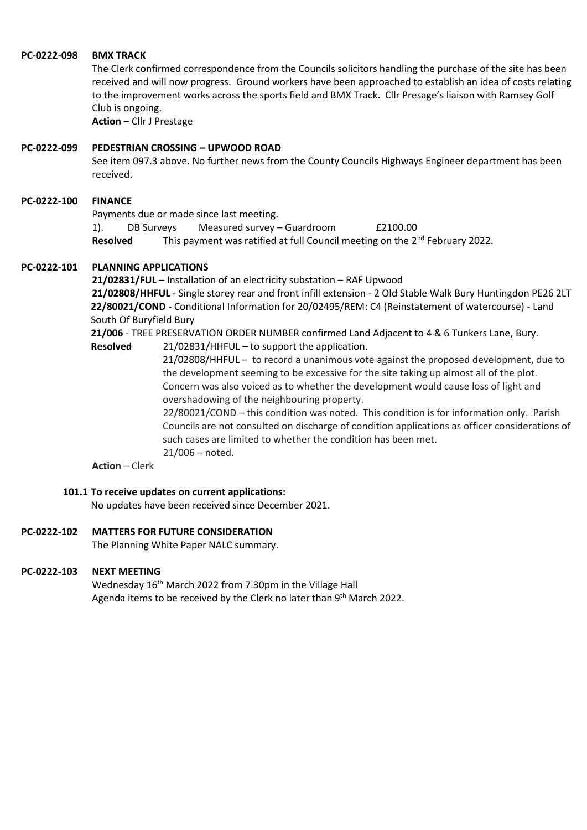#### **PC-0222-098 BMX TRACK**

The Clerk confirmed correspondence from the Councils solicitors handling the purchase of the site has been received and will now progress. Ground workers have been approached to establish an idea of costs relating to the improvement works across the sports field and BMX Track. Cllr Presage's liaison with Ramsey Golf Club is ongoing.

**Action** – Cllr J Prestage

#### **PC-0222-099 PEDESTRIAN CROSSING – UPWOOD ROAD**

See item 097.3 above. No further news from the County Councils Highways Engineer department has been received.

#### **PC-0222-100 FINANCE**

Payments due or made since last meeting.

1). DB Surveys Measured survey – Guardroom £2100.00 **Resolved** This payment was ratified at full Council meeting on the 2<sup>nd</sup> February 2022.

# **PC-0222-101 PLANNING APPLICATIONS**

**21/02831/FUL** – Installation of an electricity substation – RAF Upwood **21/02808/HHFUL** - Single storey rear and front infill extension - 2 Old Stable Walk Bury Huntingdon PE26 2LT **22/80021/COND** - Conditional Information for 20/02495/REM: C4 (Reinstatement of watercourse) - Land South Of Buryfield Bury

**21/006** - TREE PRESERVATION ORDER NUMBER confirmed Land Adjacent to 4 & 6 Tunkers Lane, Bury.

**Resolved** 21/02831/HHFUL – to support the application.

21/02808/HHFUL – to record a unanimous vote against the proposed development, due to the development seeming to be excessive for the site taking up almost all of the plot. Concern was also voiced as to whether the development would cause loss of light and overshadowing of the neighbouring property.

22/80021/COND – this condition was noted. This condition is for information only. Parish Councils are not consulted on discharge of condition applications as officer considerations of such cases are limited to whether the condition has been met. 21/006 – noted.

**Action** – Clerk

#### **101.1 To receive updates on current applications:**

No updates have been received since December 2021.

#### **PC-0222-102 MATTERS FOR FUTURE CONSIDERATION**

The Planning White Paper NALC summary.

#### **PC-0222-103 NEXT MEETING**

Wednesday 16<sup>th</sup> March 2022 from 7.30pm in the Village Hall Agenda items to be received by the Clerk no later than 9<sup>th</sup> March 2022.